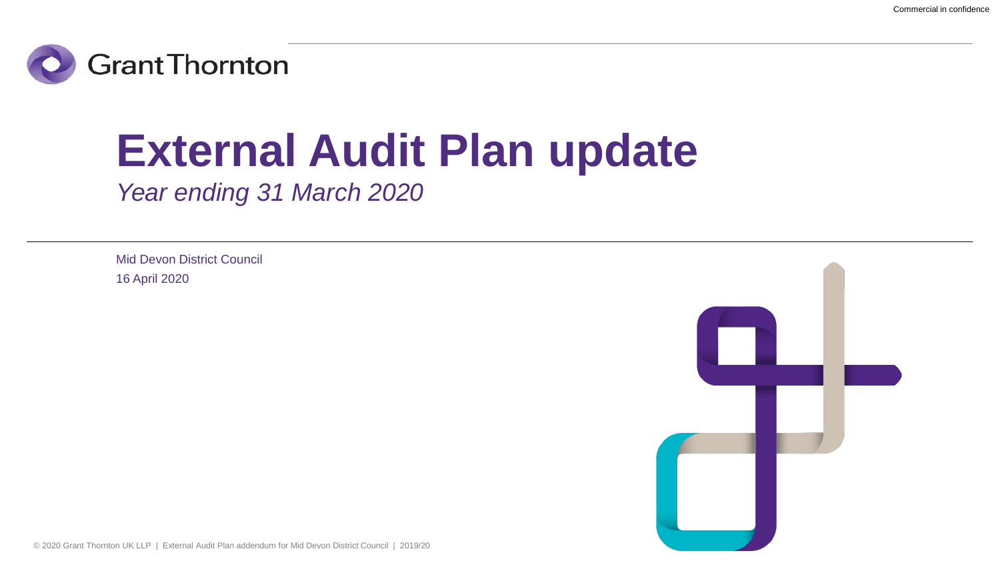

# **External Audit Plan update**

*Year ending 31 March 2020*

Mid Devon District Council 16 April 2020

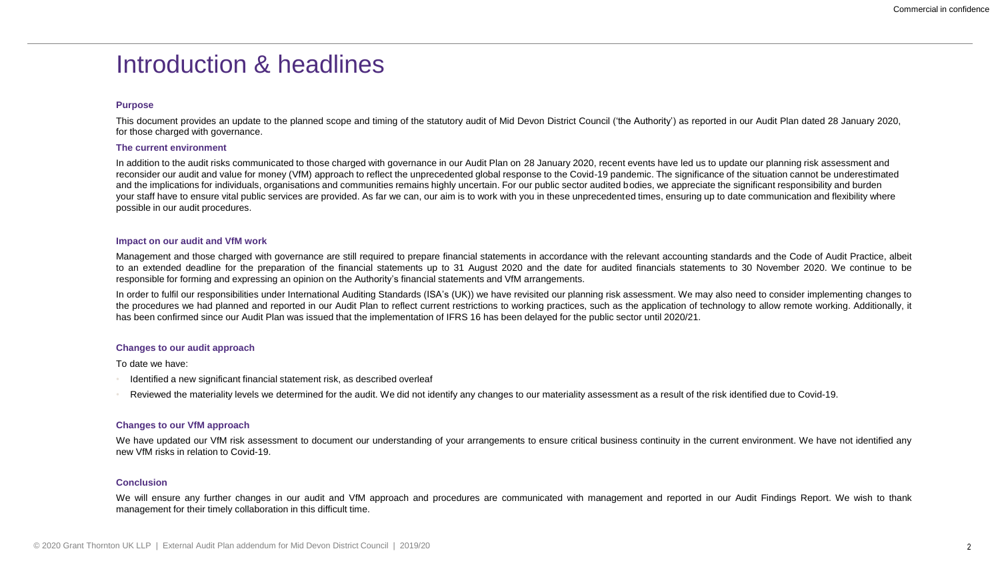### Introduction & headlines

#### **Purpose**

This document provides an update to the planned scope and timing of the statutory audit of Mid Devon District Council ('the Authority') as reported in our Audit Plan dated 28 January 2020, for those charged with governance.

#### **The current environment**

In addition to the audit risks communicated to those charged with governance in our Audit Plan on 28 January 2020, recent events have led us to update our planning risk assessment and reconsider our audit and value for money (VfM) approach to reflect the unprecedented global response to the Covid-19 pandemic. The significance of the situation cannot be underestimated and the implications for individuals, organisations and communities remains highly uncertain. For our public sector audited bodies, we appreciate the significant responsibility and burden your staff have to ensure vital public services are provided. As far we can, our aim is to work with you in these unprecedented times, ensuring up to date communication and flexibility where possible in our audit procedures.

#### **Impact on our audit and VfM work**

Management and those charged with governance are still required to prepare financial statements in accordance with the relevant accounting standards and the Code of Audit Practice, albeit to an extended deadline for the preparation of the financial statements up to 31 August 2020 and the date for audited financials statements to 30 November 2020. We continue to be responsible for forming and expressing an opinion on the Authority's financial statements and VfM arrangements.

In order to fulfil our responsibilities under International Auditing Standards (ISA's (UK)) we have revisited our planning risk assessment. We may also need to consider implementing changes to the procedures we had planned and reported in our Audit Plan to reflect current restrictions to working practices, such as the application of technology to allow remote working. Additionally, it has been confirmed since our Audit Plan was issued that the implementation of IFRS 16 has been delayed for the public sector until 2020/21.

#### **Changes to our audit approach**

To date we have:

- Identified a new significant financial statement risk, as described overleaf
- Reviewed the materiality levels we determined for the audit. We did not identify any changes to our materiality assessment as a result of the risk identified due to Covid-19.

#### **Changes to our VfM approach**

We have updated our VfM risk assessment to document our understanding of your arrangements to ensure critical business continuity in the current environment. We have not identified any new VfM risks in relation to Covid-19.

#### **Conclusion**

We will ensure any further changes in our audit and VfM approach and procedures are communicated with management and reported in our Audit Findings Report. We wish to thank management for their timely collaboration in this difficult time.